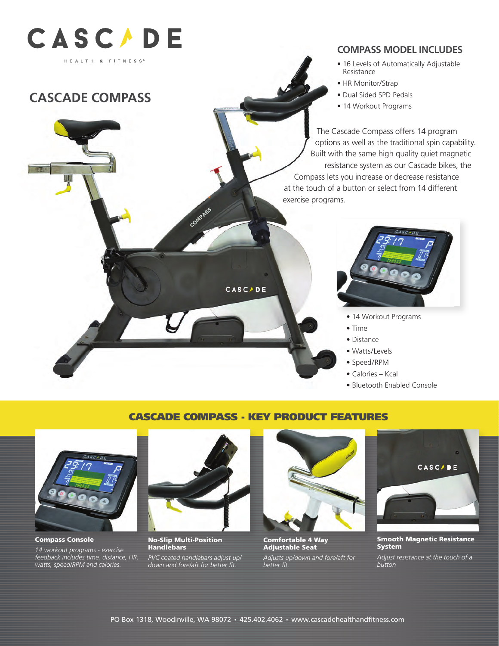

# **CASCADE COMPASS**

### **COMPASS MODEL INCLUDES**

- 16 Levels of Automatically Adjustable<br>Peristance Resistance
- HR Monitor/Strap
- Dual Sided SPD Pedals
- 14 Workout Programs

The Cascade Compass offers 14 program and the traditional spin capability.<br>
Supportions as well as the traditional spin capability. Built with the same high quality quiet magnetic resistance system as our Cascade bikes, the Compass lets you increase or decrease resistance at the touch of a button or select from 14 different exercise programs.



- 14 Workout Programs
- Time
- Distance
- Watts/Levels
- Speed/RPM
- Calories Kcal
- Bluetooth Enabled Console

### CASCADE COMPASS - KEY PRODUCT FEATURES

**CASCADE** 



14 different exercise programs.

*14 workout programs - exercise feedback includes time, distance, HR, watts, speed/RPM and calories.*



**COMPASS** 

 $\mathbf{r} = \mathbf{r} \cdot \mathbf{r}$ 

 $T$  new  $T$  program options  $T$ well as the traditional spin capability. Built with the same spin capability. Built with the same spin capability.  $\frac{1}{\sqrt{2}}$  , and the system as our contract  $\frac{1}{\sqrt{2}}$  , and the system as our contract  $\frac{1}{\sqrt{2}}$ Cascade bikes, the new Compass lets you increase or decrease resistance at the touch of a button or select from

 $\mathbb{R}^n$  $\overline{\phantom{a}}$ 

resistance

 $\mathbb{R}$ 

No-Slip Multi-Position<br>Handlebars Handlebars

PVC coated handlebars adjust up/ *down and fore/aft for better fit.*



Comfortable 4 Way Adjustable Seat

*Adjusts up/down and fore/aft for better fit.*



Smooth Magnetic Resistance System

*Adjust resistance at the touch of a button*